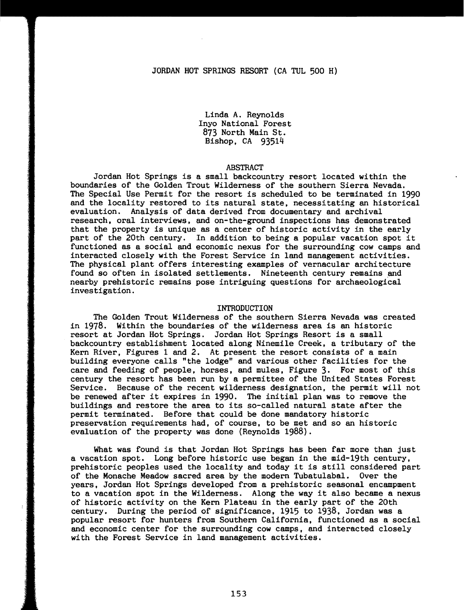Linda A. Reynolds Inyo National Forest 873 North Main St. Bishop, CA 93514

# ABSTRACT

Jordan Hot Springs is a small backcountry resort located within the boundaries of the Golden Trout Wilderness of the southern Sierra Nevada. The Special Use Permit for the resort is scheduled to be terminated in 1990 and the locality restored to its natural state, necessitating an historical evaluation. Analysis of data derived from documentary and archival research, oral interviews, and on-the-ground inspections has demonstrated that the property is unique as a center of historic activity in the early part of the 20th century. In addition to being a popular vacation spot it functioned as a social and economic nexus for the surrounding cow camps and interacted closely with the Forest Service in land management activities. The physical plant offers interesting examples of vernacular architecture found so often in isolated settlements. Nineteenth century remains and nearby prehistoric remains pose intriguing questions for archaeological investigation.

### INTRODUCTION

The Golden Trout Wilderness of the southern Sierra Nevada was created in 1978. Within the boundaries of the wilderness area is an historic resort at Jordan Hot Springs. Jordan Hot Springs Resort is a small backcountry establishment located along Ninemile Creek, a tributary of the Kern River, Figures 1 and 2. At present the resort consists of a main building everyone calls "the lodge" and various other facilities for the care and feeding of people, horses, and mules, Figure 3. For most of this century the resort has been run by a permittee of the United States Forest Service. Because of the recent wilderness designation, the permit will not be renewed after it expires in 1990. The initial plan was to remove the buildings and restore the area to its so-called natural state after the permit terminated. Before that could be done mandatory historic preservation requirements had, of course, to be met and so an historic evaluation of the property was done (Reynolds 1988).

What was found is that Jordan Hot Springs has been far more than just a vacation spot. Long before historic use began in the mid-19th century, prehistoric peoples used the locality and today it is still considered part of the Monache Meadow sacred area by the modern Tubatulabal. Over the years, Jordan Hot Springs developed from a prehistoric seasonal encampment to a vacation spot in the Wilderness. Along the way it also became a nexus of historic activity on the Kern Plateau in the early part of the 20th century, During the period of significance, 1915 to 1938, Jordan was a popular resort for hunters from Southern California, functioned as a social and economic center for the surrounding cow camps, and interacted closely with the Forest Service in land management activities.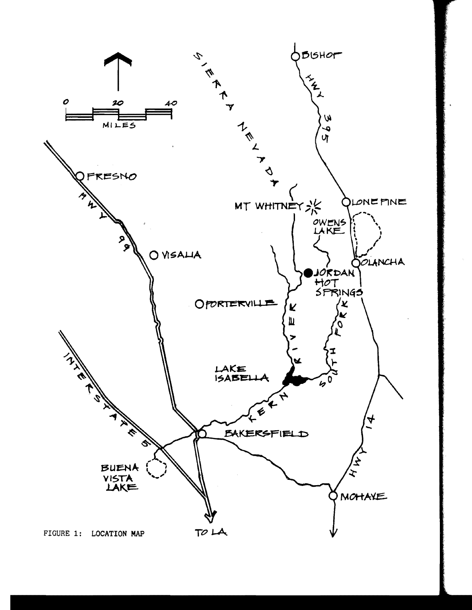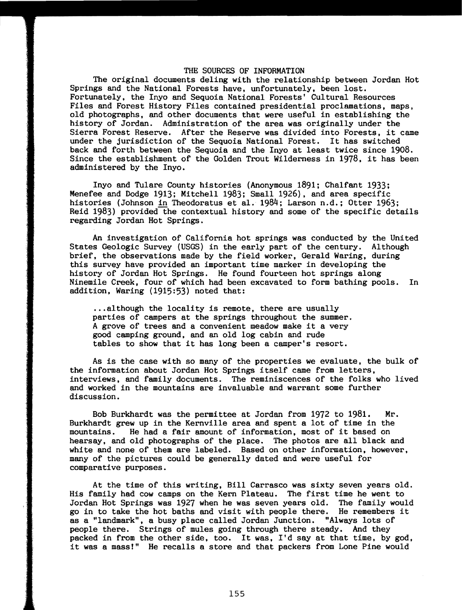## THE SOURCES OF INFORMATION

The original documents deling with the relationship between Jordan Hot Springs and the National Forests have, unfortunately, been lost. Fortunately, the Inyo and Sequoia National Forests' Cultural Resources Files and Forest History Files contained presidential proclamations, maps, old photographs, and other documents that were useful in establishing the history of Jordan. Administration of the area was originally under the Sierra Forest Reserve. After the Reserve was divided into Forests, it came under the jurisdiction of the Sequoia National Forest. It has switched back and forth between the Sequoia and the Inyo at least twice since 1908. Since the establishment of the Golden Trout Wilderness in 1978, it has been administered by the Inyo.

Inyo and Tulare County histories (Anonymous 1891; Chalfant 1933; Menefee and Dodge 1913; Mitchell 1983; Small 1926), and area specific histories (Johnson in Theodoratus et al. 1984; Larson n.d.; Otter 1963; Reid 1983) provided~he contextual history and some of the specific details regarding Jordan Hot Springs.

An investigation of California hot springs was conducted by the United States Geologic Survey (USGS) in the early part of the century. Although brief, the observations made by the field worker, Gerald Waring, during this survey have provided an important time marker in developing the history of Jordan Hot Springs. He found fourteen hot springs along Ninemile Creek, four of which had been excavated to form bathing pools. In addition, Waring (1915:53) noted that:

...although the locality is remote, there are usually parties of campers at the springs throughout the summer. A grove of trees and a convenient meadow make it a very good camping ground, and an old log cabin and rude tables to show that it has long been a camper's resort.

As is the case with so many of the properties we evaluate, the bulk of the information about Jordan Hot Springs itself came from letters, interviews, and family documents. The reminiscences of the folks who lived and worked in the mountains are invaluable and warrant some further discussion.

Bob Burkhardt was the permittee at Jordan from 1972 to 1981. Mr. Burkhardt grew up in the Kernville area and spent a lot of time in the mountains. He had a fair amount of information, most of it based on hearsay, and old photographs of the place. The photos are all black and white and none of them are labeled. Based on other information, however, many of the pictures could be generally dated and were useful for comparative purposes.

At the time of this writing, Bill Carrasco was sixty seven years old. His family had cow camps on the Kern Plateau. The first time he went to Jordan Hot Springs was 1927 when he was seven years old. The family would go in to take the hot baths and visit with people there. He remembers it as a "landmark". a busy place called Jordan Junction. "Always lots of people there. Strings of mules going through there steady. And they packed in from the other side. too. It was, I'd say at that time, by god, it was a mass!" He recalls a store and that packers from Lone Pine would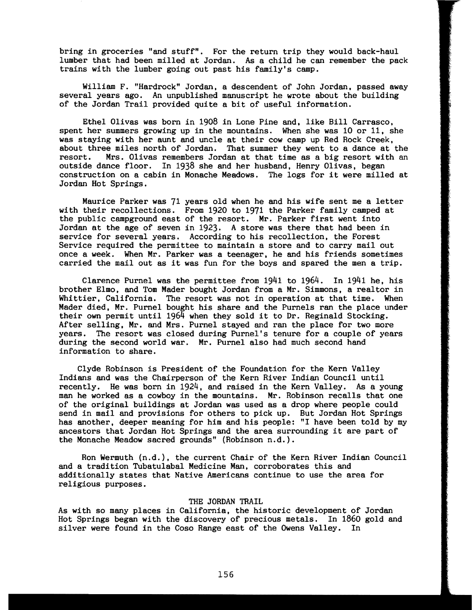bring in groceries "and stuff". For the return trip they would back-haul lumber that had been milled at Jordan. As a child he can remember the pack trains with the lumber going out past his family's camp.

William F. "Hardrock" Jordan. a descendent of John Jordan. passed away several years ago. An unpublished manuscript he wrote about the building of the Jordan Trail provided quite a bit of useful information.

Ethel Olivas was born in 1908 in Lone Pine and. like Bill Carrasco, spent her summers growing up in the mountains. When she was 10 or 11. she was staying with her aunt and uncle at their cow camp up Red Rock Creek. about three miles north of Jordan. That summer they went to a dance at the resort. Mrs. Olivas remembers Jordan at that time as a big resort with an Mrs. Olivas remembers Jordan at that time as a big resort with an outside dance floor. In 1938 she and her husband. Henry Olivas. began construction on a cabin in Monache Meadows. The logs for it were milled at Jordan Hot Springs.

Maurice Parker was 71 years old when he and his wife sent me a letter with their recollections. From 1920 to 1971 the Parker family camped at the public campground east of the resort. Mr. Parker first went into Jordan at the age of seven in 1923. A store was there that had been in service for several years. According to his recollection, the Forest Service required the permittee to maintain a store and to carry mail out once a week. When Mr. Parker was a teenager. he and his friends sometimes carried the mail out as it was fun for the boys and spared the men a trip.

Clarence Purnel was the permittee from  $1941$  to  $1964$ . In  $1941$  he, his brother Elmo, and Tom Mader bought Jordan from a Mr. Simmons, a realtor in Whittier. California. The resort was not in operation at that time. When Mader died. Mr. Purnel bought his share and the Purnels ran the place under their own permit until  $196\overline{4}$  when they sold it to Dr. Reginald Stocking. After selling. Mr. and Mrs. Purnel stayed and ran the place for two more years. The resort was closed during Purnel's tenure for a couple of years during the second world war. Mr. Purnel also had much second hand information to share.

Clyde Robinson is President of the Foundation for the Kern Valley Indians and was the Chairperson of the Kern River Indian Council until recently. He was born in 1924. and raised in the Kern Valley. As a young man he worked as a cowboy in the mountains. Mr. Robinson recalls that one of the original buildings at Jordan was used as a drop where people could send in mail and provisions for others to pick up. But Jordan Hot Springs has another. deeper meaning for him and his people: "I have been told by my ancestors that Jordan Hot Springs and the area surrounding it are part of the Monache Meadow sacred grounds" (Robinson n.d.).

Ron Wermuth (n.d.). the current Chair of the Kern River Indian Council and a tradition Tubatulabal Medicine Man. corroborates this and additionally states that Native Americans continue to use the area for religious purposes.

# THE JORDAN TRAIL

As with so many places in California. the historic development of Jordan Hot Springs began with the discovery of precious metals. In 1860 gold and silver were found in the Coso Range east of the Owens Valley. In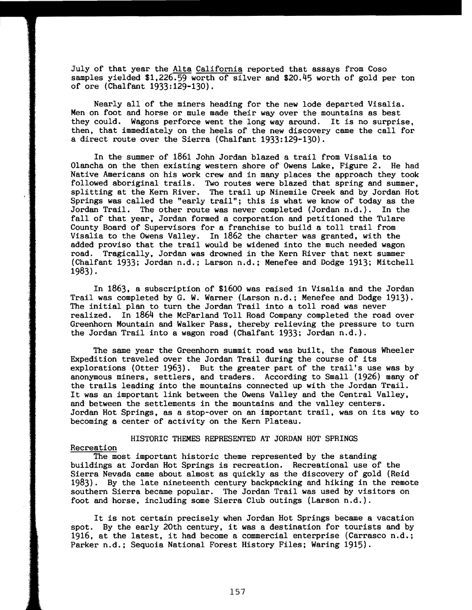July of that year the Alta California reported that assays from Coso samples yielded \$1,226.59 worth of silver and \$20.45 worth of gold per ton of ore (Chalfant 1933:129-130).

Nearly all of the miners heading for the new lode departed Visalia. Men on foot and horse or mule made their way over the mountains as best they could. Wagons perforce went the long way around. It is no surprise, then, that immediately on the heels of the new discovery came the call for a direct route over the Sierra (Chalfant 1933:129-130).

In the summer of 1861 John Jordan blazed a trail from Visalia to Olancha on the then existing western shore of Owens Lake, Figure 2. He had Native Americans on his work crew and in many places the approach they took followed aboriginal trails. Two routes were blazed that spring and summer, splitting at the Kern River. The trail up Ninemile Creek and by Jordan Hot Springs was called the "early trail"; this is what we know of today as the Jordan Trail. The other route was never completed (Jordan n.d.). In the fall of that year. Jordan formed a corporation and petitioned the Tulare County Board of Supervisors for a franchise to build a toll trail from Visalia to the Owens Valley. In 1862 the charter was granted, with the added proviso that the trail would be widened into the much needed wagon road. Tragically, Jordan was drowned in the Kern River that next summer (Chalfant 1933; Jordan n.d.; Larson n.d.; Menefee and Dodge 1913; Mitchell 1983).

In 1863, a subscription of \$1600 was raised in Visalia and the Jordan Trail was completed by G. W. Warner (Larson n.d.; Menefee and Dodge 1913). The initial plan to turn the Jordan Trail into a toll road was never realized. In 1864 the McFarland Toll Road Company completed the road over Greenhorn Mountain and Walker Pass, thereby relieving the pressure to turn the Jordan Trail into a wagon road (Chalfant 1933; Jordan n.d.).

The same year the Greenhorn summit road was built, the famous Wheeler Expedition traveled over the Jordan Trail during the course of its explorations (Otter 1963). But the greater part of the trail's use was by anonymous miners, settlers, and traders. According to Small (1926) many of the trails leading into the mountains connected up with the Jordan Trail. It was an important link between the Owens Valley and the Central Valley. and between the settlements in the mountains and the valley centers. Jordan Hot Springs, as a stop-over on an important trail. was on its way to becoming a center of activity on the Kern Plateau.

# HISTORIC THEMES REPRESENTED AT JORDAN HOT SPRINGS

# Recreation

The most important historic theme represented by the standing buildings at Jordan Hot Springs is recreation. Recreational use of the Sierra Nevada came about almost as quickly as the discovery of gold (Reid 1983). By the late nineteenth century backpacking and hiking in the remote southern Sierra became popular. The Jordan Trail was used by visitors on foot and horse, including some Sierra Club outings (Larson n.d.).

It is not certain precisely when Jordan Hot Springs became a vacation spot. By the early 20th century, it was a destination for tourists and by 1916. at the latest. it had become a commercial enterprise (Carrasco n.d.; Parker n.d.; Sequoia National Forest History Files; Waring 1915).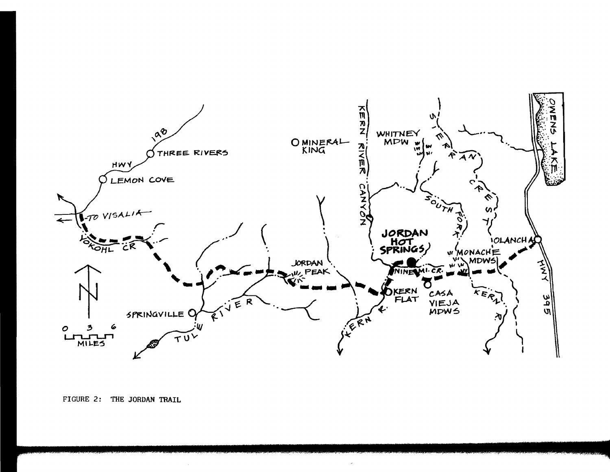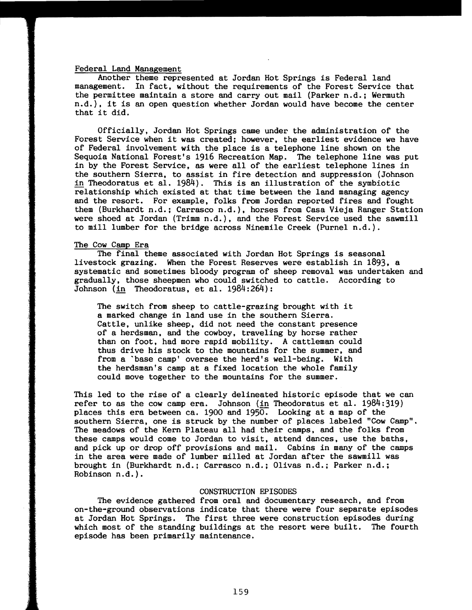#### Federal Land Management

Another theme represented at Jordan Hot Springs is Federal land management. In fact, without the requirements of the Forest Service that the permittee maintain a store and carry out mail (Parker n.d.; Wermuth n.d.), it is an open question whether Jordan would have become the center that it did.

Officially, Jordan Hot Springs came under the administration of the Forest Service when it was created; however, the earliest evidence we have of Federal involvement with the place is a telephone line shown on the Sequoia National Forest's 1916 Recreation Map. The telephone line was put in by the Forest Service, as were all of the earliest telephone lines in the southern Sierra, to assist in fire detection and suppression (Johnson in Theodoratus et al. 1984). This is an illustration of the symbiotic relationship which existed at that time between the land managing agency and the resort. For example, folks from Jordan reported fires and fought them (Burkhardt n.d.; Carrasco n.d.), horses from Casa Vieja Ranger Station were shoed at Jordan (Trimm n.d.), and the Forest Service used the sawmill to mill lumber for the bridge across Ninemile Creek (Purnel n.d.).

# The Cow Camp Era

The final theme associated with Jordan Hot Springs is seasonal livestock grazing. When the Forest Reserves were establish in 1893, a systematic and sometimes bloody program of sheep removal was undertaken and gradually, those sheepmen who could switched to cattle. According to Johnson (in Theodoratus, et al. 1984:264):

The switch from sheep to cattle-grazing brought with it a marked change in land use in the southern Sierra. Cattle, unlike sheep, did not need the constant presence of a herdsman, and the cowboy, traveling by horse rather than on foot, had more rapid mobility. A cattleman could thus drive his stock to the mountains for the summer, and from a 'base camp' oversee the herd's well-being. With the herdsman's camp at a fixed location the whole family could move together to the mountains for the summer.

This led to the rise of a clearly delineated historic episode that we can refer to as the cow camp era. Johnson (in Theodoratus et al.  $1984:319$ ) places this era between ca. 1900 and 1956: Looking at a map of the southern Sierra, one is struck by the number of places labeled "Cow Camp", The meadows of the Kern Plateau all had their camps, and the folks from these camps would come to Jordan to visit, attend dances, use the baths, and pick up or drop off provisions and mail. Cabins in many of the camps in the area were made of lumber milled at Jordan after the sawmill was brought in (Burkhardt n.d.; Carrasco n.d.; Olivas n.d.; Parker n.d.; Robinson n.d.).

### CONSTRUCTION EPISODES

The evidence gathered from oral and documentary research, and from on-the-ground observations indicate that there were four separate episodes at Jordan Hot Springs. The first three were construction episodes during which most of the standing buildings at the resort were built. The fourth episode has been primarily maintenance.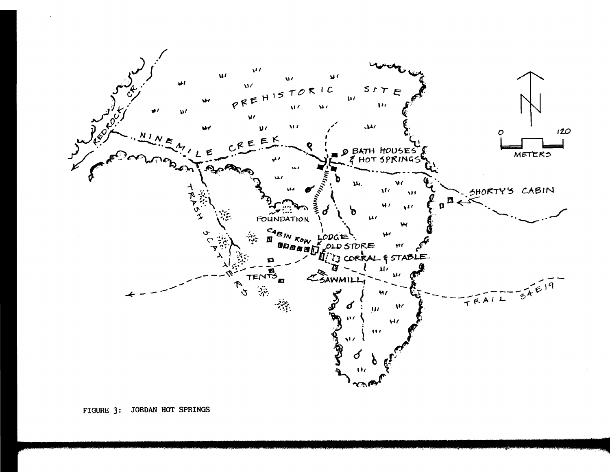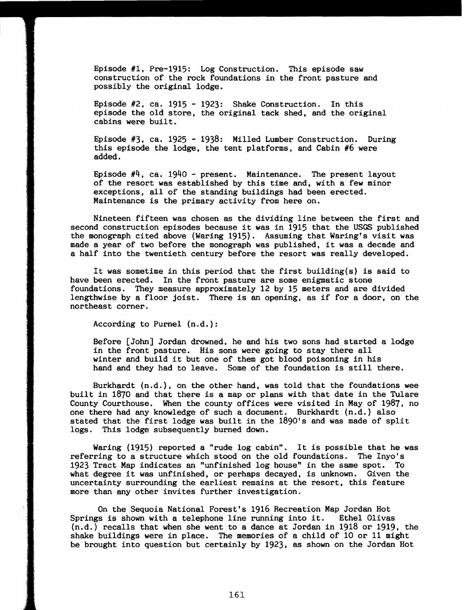Episode #1. Pre-1915: Log Construction. This episode saw construction of the rock foundations in the front pasture and possibly the original lodge.

Episode #2, ca. 1915 - 1923: Shake Construction. In this episode the old store, the original tack shed, and the original cabins were built.

Episode #3, ca. 1925 - 1938: Milled Lumber Construction. During this episode the lodge, the tent platforms, and Cabin #6 were added.

Episode  $\#4$ , ca. 1940 - present. Maintenance. The present layout of the resort was established by this time and, with a few minor exceptions, all of the standing buildings had been erected. Maintenance is the primary activity from here on.

Nineteen fifteen was chosen as the dividing line between the first and second construction episodes because it was in 1915 that the USGS published the monograph cited above (Waring 1915). Assuming that Waring's visit was made a year of two before the monograph was published, it was a decade and a half into the twentieth century before the resort was really developed.

It was sometime in this period that the first building(s) is said to have been erected. In the front pasture are some enigmatic stone foundations. They measure approximately 12 by 15 meters and are divided lengthwise by a floor joist. There is an opening, as if for a door, on the northeast corner.

According to Purnel (n.d.):

Before [John] Jordan drowned. he and his two sons had started a lodge in the front pasture. His sons were going to stay there all winter and build it but one of them got blood poisoning in his hand and they had to leave. Some of the foundation is still there.

Burkhardt (n.d.), on the other hand, was told that the foundations wee built in 1870 and that there is a map or plans with that date in the Tulare County Courthouse. When the county offices were visited in May of 1987. no one there had any knowledge of such a document. Burkhardt (n.d.) also stated that the first lodge was built in the 1890's and was made of split logs. This lodge subsequently burned down.

Waring (1915) reported a "rude log cabin". It is possible that he was referring to a structure which stood on the old foundations. The Inyo's 1923 Tract Map indicates an "unfinished log house" in the same spot. To what degree it was unfinished, or perhaps decayed, is unknown. Given the uncertainty surrounding the earliest remains at the resort. this feature more than any other invites further investigation.

On the Sequoia National Forest's 1916 Recreation Map Jordan Hot<br>In the Sequoia National Forest's 1916 Recreation Map Jordan Hotel Springs is shown with a telephone line running into it. (n.d.) recalls that when she went to a dance at Jordan in 1918 or 1919, the shake buildings were in place. The memories of a child of 10 or 11 might be brought into question but certainly by 1923, as shown on the Jordan Hot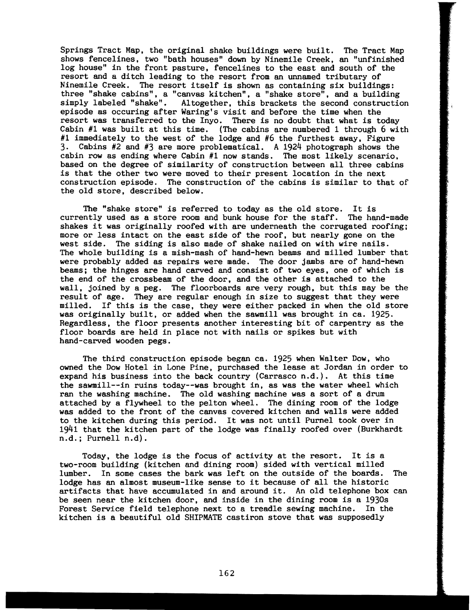Springs Tract Map, the original shake buildings were built. The Tract Map shows fencelines, two "bath houses" down by Ninemile Creek, an "unfinished log house" in the front pasture, fencelines to the east and south of the resort and a ditch leading to the resort from an unnamed tributary of Ninemile Creek. The resort itself is shown as containing six buildings: three "shake cabins", a "canvas kitchen", a "shake store", and a building simply labeled "shake". Altogether, this brackets the second construction Altogether, this brackets the second construction episode as occuring after Waring's visit and before the time when the resort was transferred to the Inyo. There is no doubt that what is today Cabin #1 was built at this time. (The cabins are numbered 1 through 6 with #1 immediately to the west of the lodge and #6 the furthest away, Figure 3. Cabins #2 and #3 are more problematical. A 1924 photograph shows the cabin row as ending where Cabin #1 now stands. The most likely scenario. based on the degree of similarity of construction between all three cabins is that the other two were moved to their present location in the next construction episode. The construction of the cabins is similar to that of the old store, described below.

The "shake store" is referred to today as the old store. It is currently used as a store room and bunk house for the staff. The hand-made shakes it was originally roofed with are underneath the corrugated roofing; more or less intact on the east side of the roof, but nearly gone on the west side. The siding is also made of shake nailed on with wire nails. The whole building is a mish-mash of hand-hewn beams and milled lumber that were probably added as repairs were made. The door jambs are of hand-hewn beams; the hinges are hand carved and consist of two eyes, one of which is the end of the crossbeam of the door, and the other is attached to the wall, joined by a peg. The floorboards are very rough, but this may be the result of age. They are regular enough in size to suggest that they were milled. If this is the case, they were either packed in when the old store was originally built, or added when the sawmill was brought in ca. 1925. Regardless, the floor presents another interesting bit of carpentry as the floor boards are held in place not with nails or spikes but with hand-carved wooden pegs.

The third construction episode began ca. 1925 when Walter Dow, who owned the Dow Hotel in Lone Pine, purchased the lease at Jordan in order to expand his business into the back country (Carrasco n.d.). At this time the sawmill--in ruins today--was brought in, as was the water wheel which ran the washing machine. The old washing machine was a sort of a drum attached by a flywheel to the pelton wheel. The dining room of the lodge was added to the front of the canvas covered kitchen and walls were added to the kitchen during this period. It was not until Purnel took over in 1941 that the kitchen part of the lodge was finally roofed over (Burkhardt n.d.; Purnell n.d).

Today, the lodge is the focus of activity at the resort. It is a two-room building (kitchen and dining room) sided with vertical milled lumber. In some cases the bark was left on the outside of the boards. The lodge has an almost museum-like sense to it because of all the historic artifacts that have accumulated in and around it. An old telephone box can be seen near the kitchen door, and inside in the dining room is a 1930s<br>Forest Service field telephone next to a treadle sewing machine. In the Forest Service field telephone next to a treadle sewing machine. kitchen is a beautiful old SHIPMATE castiron stove that was supposedly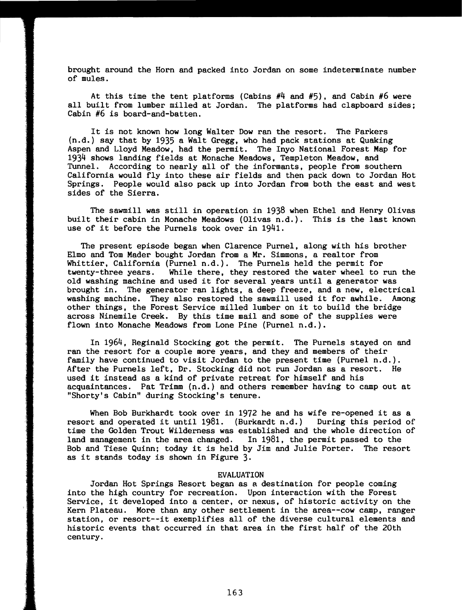brought around the Horn and packed into Jordan on some indeterminate number of mules.

At this time the tent platforms (Cabins  $#4$  and  $#5$ ), and Cabin  $#6$  were all built from lumber milled at Jordan. The platforms had clapboard sides; Cabin #6 is board-and-batten.

It is not known how long Walter Dow ran the resort. The Parkers (n.d.) say that by 1935 a Walt Gregg. who had pack stations at Quaking Aspen and Lloyd Meadow, had the permit. The Inyo National Forest Map for 1934 shows landing fields at Monache Meadows, Templeton Meadow, and Tunnel. According to nearly all of the informants. people from southern California would fly into these air fields and then pack down to Jordan Hot Springs. People would also pack up into Jordan from both the east and west sides of the Sierra.

The sawmill was still in operation in 1938 when Ethel and Henry Olivas built their cabin in Monache Meadows (Olivas n.d.). This is the last known use of it before the Purnels took over in 1941.

The present episode began when Clarence Purnel, along with his brother Elmo and Tom Mader bought Jordan from a Mr. Simmons, a realtor from Whittier, California (Purnel n.d.). The Purnels held the permit for twenty-three years. While there, they restored the water wheel to i While there, they restored the water wheel to run the old washing machine and used it for several years until a generator was brought in. The generator ran lights, a deep freeze. and a new. electrical brought in. The generator ran lights, a deep rreeze, and a new, electrical washing machine. They also restored the sawmill used it for awhile. Among washing machine. They also restored the sawmill used it for awhile. And other things, the Forest Service milled lumber on it to build the bridge across Ninemile Creek. By this time mail and some of the supplies were flown into Monache Meadows from Lone Pine (Purnel n.d.).

In 1964. Reginald Stocking got the permit. The Purnels stayed on and ran the resort for a couple more years, and they and members of their family have continued to visit Jordan to the present time (Purnel n.d.). After the Purnels left. Dr. Stocking did not run Jordan as a resort. He used it instead as a kind of private retreat for himself and his acquaintances. Pat Trimm (n.d.) and others remember having to camp out at "Shorty's Cabin" during Stocking's tenure.

When Bob Burkhardt took over in 1972 he and hs wife re-opened it as a resort and operated it until 1981. (Burkardt n.d.) During this period of time the Golden Trout Wilderness was established and the whole direction of land management in the area changed. In 1981, the permit passed to the In 1981, the permit passed to the Bob and Tiese Quinn; today it is held by Jim and Julie Porter. The resort as it stands today is shown in Figure 3.

## EVALUATION

Jordan Hot Springs Resort began as a destination for people coming into the high country for recreation. Upon interaction with the Forest Service, it developed into a center, or nexus. of historic activity on the Kern Plateau. More than any other settlement in the area--cow camp, ranger station, or resort--it exemplifies all of the diverse cultural elements and historic events that occurred in that area in the first half of the 20th century.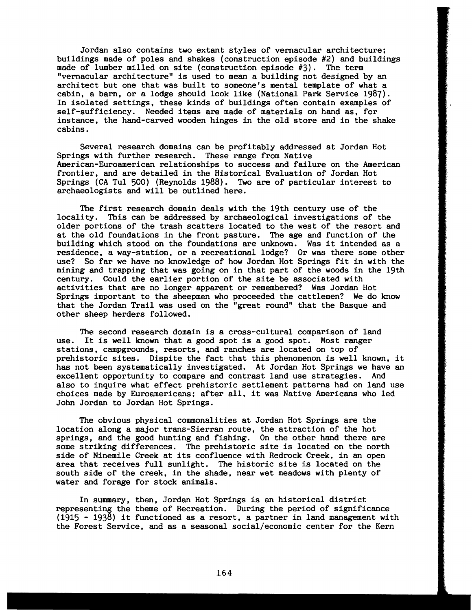Jordan also contains two extant styles of vernacular architecture: buildings made of poles and shakes (construction episode  $#2$ ) and buildings made of lumber milled on site (construction episode  $#3$ ). The term made of lumber milled on site (construction episode  $#3$ ). "vernacular architecture" is used to mean a building not designed by an architect but one that was built to someone's mental template of what a cabin, a barn, or a lodge should look like (National Park Service 1987). In isolated settings, these kinds of buildings often contain examples of self-sufficiency. Needed items are made of materials on hand as, for instance, the hand-carved wooden hinges in the old store and in the shake cabins.

Several research domains can be profitably addressed at Jordan Hot Springs with further research. These range from Native American-Euroamerican relationships to success and failure on the American frontier, and are detailed in the Historical Evaluation of Jordan Hot Springs (CA Tul 500) (Reynolds 1988). Two are of particular interest to archaeologists and will be outlined here.

The first research domain deals with the 19th century use of the locality. This can be addressed by archaeological investigations of the older portions of the trash scatters located to the west of the resort and at the old foundations in the front pasture. The age and function of the building which stood on the foundations are unknown. Was it intended as a residence, a way-station, or a recreational lodge? Or was there some other use? So far we have no knowledge of how Jordan Hot Springs fit in with the mining and trapping that was going on in that part of the woods in the 19th century. Could the earlier portion of the site be associated with activities that are no longer apparent or remembered? Was Jordan Hot Springs important to the sheepmen who proceeded the cattlemen? We do know that the Jordan Trail was used on the "great round" that the Basque and other sheep herders followed.

The second research domain is a cross-cultural comparison of land<br>use. It is well known that a good spot is a good spot. Most ranger It is well known that a good spot is a good spot. stations, campgrounds, resorts, and ranches are located on top of prehistoric sites. Dispite the fact that this phenomenon is well known, it has not been systematically investigated. At Jordan Hot Springs we have an excellent opportunity to compare and contrast land use strategies. And also to inquire what effect prehistoric settlement patterns had on land use choices made by Euroamericans; after all, it was Native Americans who led John Jordan to Jordan Hot Springs.

The obvious physical commonalities at Jordan Hot Springs are the location along a major trans-Sierran route, the attraction of the hot springs, and the good hunting and fishing. On the other hand there are some striking differences. The prehistoric site is located on the north side of Ninemile Creek at its confluence with Redrock Creek, in an open area that receives full sunlight. The historic site is located on the south side of the creek, in the shade, near wet meadows with plenty of water and forage for stock animals.

In summary, then, Jordan Hot Springs is an historical district representing the theme of Recreation. During the period of significance (1915 - 1938) it functioned as a resort, a partner in land management with the Forest Service, and as a seasonal social/economic center for the Kern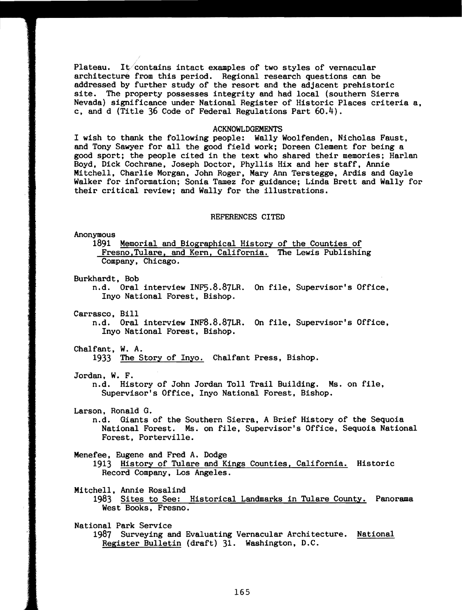Plateau. It contains intact examples of two styles of vernacular architecture from this period. Regional research questions can be addressed by further study of the resort and the adjacent prehistoric site. The property possesses integrity and had local (southern Sierra Nevada) significance under National Register of Historic Places criteria a, c, and d (Title 36 Code of Federal Regulations Part 60.4).

### ACKNOWLDGEMENTS

I wish to thank the following people: Wally Woolfenden, Nicholas Faust, and Tony Sawyer for all the good field work; Doreen Clement for being a good sport; the people cited in the text who shared their memories; Harlan Boyd, Dick Cochrane, Joseph Doctor, Phyllis Hix and her staff, Annie Mitchell. Charlie Morgan. John Roger. Mary Ann Terstegge, Ardis and Gayle Walker for information; Sonia Tamez for guidance; Linda Brett and Wally for their critical review; and Wally for the illustrations.

### REFERENCES CITED

Anonymous

1891 Memorial and Biographical History of the Counties of Fresno, Tulare, and Kern, California. The Lewis Publishing Company, Chicago.

Burkhardt, Bob

n.d. Oral interview INF5.8.87LR. On file. Supervisor's Office. Inyo National Forest. Bishop.

Carrasco, Bill

n.d. Oral interview INF8.8.87LR. On file. Supervisor's Office, Inyo National Forest, Bishop.

Chalfant, W. A.

1933 The Story of Inyo. Chalfant Press, Bishop.

Jordan. W. F.

n.d. History of John Jordan Toll Trail Building. Ms. on file, Supervisor's Office, Inyo National Forest. Bishop.

Larson, Ronald G.

n.d. Giants of the Southern Sierra. A Brief History of the Sequoia National Forest. Ms. on file. Supervisor's Office, Sequoia National Forest, Porterville.

Menefee, Eugene and Fred A. Dodge

1913 History of Tulare and Kings Counties, California. Historic Record Company, Los Angeles.

Mitchell, Annie Rosalind

- 1983 Sites to See: Historical Landmarks in Tulare County. Panorama West Books, Fresno.
- National Park Service 1987 Surveying and Evaluating Vernacular Architecture. National Register Bulletin (draft) 31. Washington. D.C.